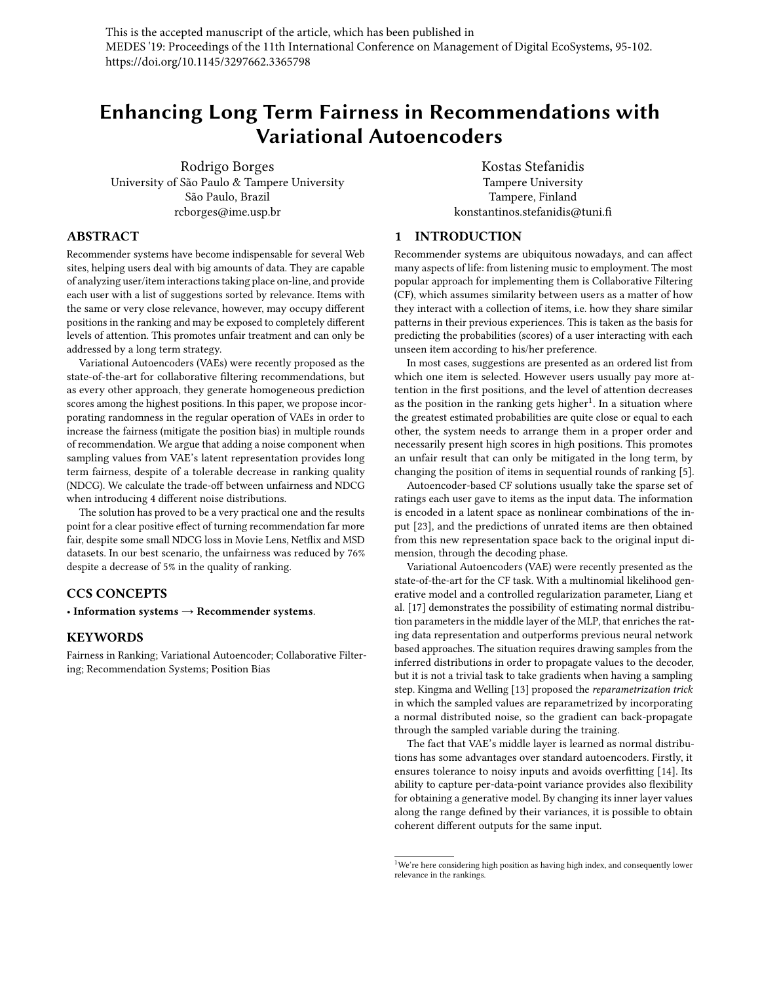This is the accepted manuscript of the article, which has been published in MEDES '19: Proceedings of the 11th International Conference on Management of Digital EcoSystems, 95-102. https://doi.org/10.1145/3297662.3365798

# Enhancing Long Term Fairness in Recommendations with Variational Autoencoders

Rodrigo Borges University of São Paulo & Tampere University São Paulo, Brazil rcborges@ime.usp.br

Kostas Stefanidis Tampere University Tampere, Finland konstantinos.stefanidis@tuni.fi

# ABSTRACT

Recommender systems have become indispensable for several Web sites, helping users deal with big amounts of data. They are capable of analyzing user/item interactions taking place on-line, and provide each user with a list of suggestions sorted by relevance. Items with the same or very close relevance, however, may occupy different positions in the ranking and may be exposed to completely different levels of attention. This promotes unfair treatment and can only be addressed by a long term strategy.

Variational Autoencoders (VAEs) were recently proposed as the state-of-the-art for collaborative filtering recommendations, but as every other approach, they generate homogeneous prediction scores among the highest positions. In this paper, we propose incorporating randomness in the regular operation of VAEs in order to increase the fairness (mitigate the position bias) in multiple rounds of recommendation. We argue that adding a noise component when sampling values from VAE's latent representation provides long term fairness, despite of a tolerable decrease in ranking quality (NDCG). We calculate the trade-off between unfairness and NDCG when introducing 4 different noise distributions.

The solution has proved to be a very practical one and the results point for a clear positive effect of turning recommendation far more fair, despite some small NDCG loss in Movie Lens, Netflix and MSD datasets. In our best scenario, the unfairness was reduced by 76% despite a decrease of 5% in the quality of ranking.

# CCS CONCEPTS

• Information systems  $\rightarrow$  Recommender systems.

## KEYWORDS

Fairness in Ranking; Variational Autoencoder; Collaborative Filtering; Recommendation Systems; Position Bias

# 1 INTRODUCTION

Recommender systems are ubiquitous nowadays, and can affect many aspects of life: from listening music to employment. The most popular approach for implementing them is Collaborative Filtering (CF), which assumes similarity between users as a matter of how they interact with a collection of items, i.e. how they share similar patterns in their previous experiences. This is taken as the basis for predicting the probabilities (scores) of a user interacting with each unseen item according to his/her preference.

In most cases, suggestions are presented as an ordered list from which one item is selected. However users usually pay more attention in the first positions, and the level of attention decreases as the position in the ranking gets higher<sup>[1](#page-0-0)</sup>. In a situation where the greatest estimated probabilities are quite close or equal to each other, the system needs to arrange them in a proper order and necessarily present high scores in high positions. This promotes an unfair result that can only be mitigated in the long term, by changing the position of items in sequential rounds of ranking [\[5\]](#page-6-0).

Autoencoder-based CF solutions usually take the sparse set of ratings each user gave to items as the input data. The information is encoded in a latent space as nonlinear combinations of the input [\[23\]](#page-7-0), and the predictions of unrated items are then obtained from this new representation space back to the original input dimension, through the decoding phase.

Variational Autoencoders (VAE) were recently presented as the state-of-the-art for the CF task. With a multinomial likelihood generative model and a controlled regularization parameter, Liang et al. [\[17\]](#page-7-1) demonstrates the possibility of estimating normal distribution parameters in the middle layer of the MLP, that enriches the rating data representation and outperforms previous neural network based approaches. The situation requires drawing samples from the inferred distributions in order to propagate values to the decoder, but it is not a trivial task to take gradients when having a sampling step. Kingma and Welling [\[13\]](#page-6-1) proposed the reparametrization trick in which the sampled values are reparametrized by incorporating a normal distributed noise, so the gradient can back-propagate through the sampled variable during the training.

The fact that VAE's middle layer is learned as normal distributions has some advantages over standard autoencoders. Firstly, it ensures tolerance to noisy inputs and avoids overfitting [\[14\]](#page-7-2). Its ability to capture per-data-point variance provides also flexibility for obtaining a generative model. By changing its inner layer values along the range defined by their variances, it is possible to obtain coherent different outputs for the same input.

<span id="page-0-0"></span> $^{1}\rm{We}$ 're here considering high position as having high index, and consequently lower relevance in the rankings.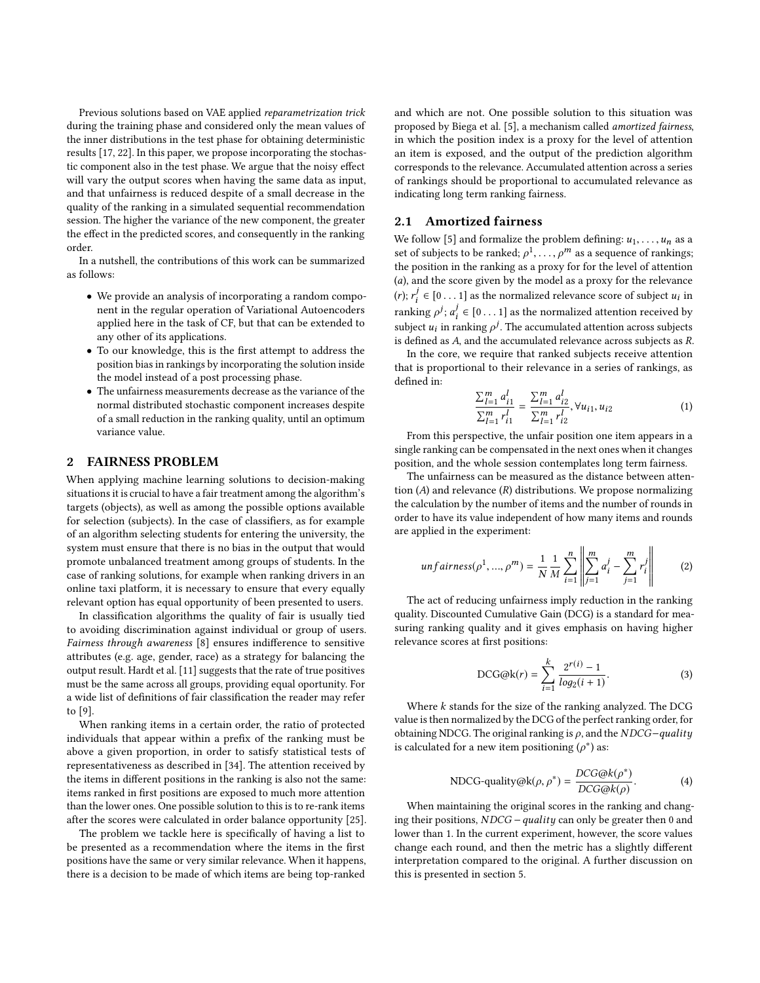Previous solutions based on VAE applied reparametrization trick during the training phase and considered only the mean values of the inner distributions in the test phase for obtaining deterministic results [\[17,](#page-7-1) [22\]](#page-7-3). In this paper, we propose incorporating the stochastic component also in the test phase. We argue that the noisy effect will vary the output scores when having the same data as input, and that unfairness is reduced despite of a small decrease in the quality of the ranking in a simulated sequential recommendation session. The higher the variance of the new component, the greater the effect in the predicted scores, and consequently in the ranking order.

In a nutshell, the contributions of this work can be summarized as follows:

- We provide an analysis of incorporating a random component in the regular operation of Variational Autoencoders applied here in the task of CF, but that can be extended to any other of its applications.
- To our knowledge, this is the first attempt to address the position bias in rankings by incorporating the solution inside the model instead of a post processing phase.
- The unfairness measurements decrease as the variance of the normal distributed stochastic component increases despite of a small reduction in the ranking quality, until an optimum variance value.

# 2 FAIRNESS PROBLEM

When applying machine learning solutions to decision-making situations it is crucial to have a fair treatment among the algorithm's targets (objects), as well as among the possible options available for selection (subjects). In the case of classifiers, as for example of an algorithm selecting students for entering the university, the system must ensure that there is no bias in the output that would promote unbalanced treatment among groups of students. In the case of ranking solutions, for example when ranking drivers in an online taxi platform, it is necessary to ensure that every equally relevant option has equal opportunity of been presented to users.

In classification algorithms the quality of fair is usually tied to avoiding discrimination against individual or group of users. Fairness through awareness [\[8\]](#page-6-2) ensures indifference to sensitive attributes (e.g. age, gender, race) as a strategy for balancing the output result. Hardt et al. [\[11\]](#page-6-3) suggests that the rate of true positives must be the same across all groups, providing equal oportunity. For a wide list of definitions of fair classification the reader may refer to [\[9\]](#page-6-4).

When ranking items in a certain order, the ratio of protected individuals that appear within a prefix of the ranking must be above a given proportion, in order to satisfy statistical tests of representativeness as described in [\[34\]](#page-7-4). The attention received by the items in different positions in the ranking is also not the same: items ranked in first positions are exposed to much more attention than the lower ones. One possible solution to this is to re-rank items after the scores were calculated in order balance opportunity [\[25\]](#page-7-5).

The problem we tackle here is specifically of having a list to be presented as a recommendation where the items in the first positions have the same or very similar relevance. When it happens, there is a decision to be made of which items are being top-ranked and which are not. One possible solution to this situation was proposed by Biega et al. [\[5\]](#page-6-0), a mechanism called amortized fairness, in which the position index is a proxy for the level of attention an item is exposed, and the output of the prediction algorithm corresponds to the relevance. Accumulated attention across a series of rankings should be proportional to accumulated relevance as indicating long term ranking fairness.

## 2.1 Amortized fairness

We follow [\[5\]](#page-6-0) and formalize the problem defining:  $u_1, \ldots, u_n$  as a set of subjects to be ranked;  $\rho^1, \ldots, \rho^m$  as a sequence of rankings;<br>the position in the ranking as a provy for for the level of attention the position in the ranking as a proxy for for the level of attention (a), and the score given by the model as a proxy for the relevance  $(r); r_i^j \in [0 \dots 1]$  as the normalized relevance score of subject  $u_i$  in ranking  $\rho^j$ ;  $a_i^j \in [0 \dots 1]$  as the normalized attention received by<br>subject  $\mu$  in grading  $\epsilon^j$ . The commutated attention concernation subject  $u_i$  in ranking  $\rho^j$ . The accumulated attention across subjects as  $R$ <br>is defined as A and the accumulated relevance across subjects as  $R$ is defined as A, and the accumulated relevance across subjects as R.

In the core, we require that ranked subjects receive attention that is proportional to their relevance in a series of rankings, as defined in:

$$
\frac{\sum_{l=1}^{m} a_{i1}^l}{\sum_{l=1}^{m} r_{i1}^l} = \frac{\sum_{l=1}^{m} a_{i2}^l}{\sum_{l=1}^{m} r_{i2}^l}, \forall u_{i1}, u_{i2}
$$
\n(1)

 $\frac{\Delta_{l=1} I_{i1}}{\Delta_{l=1} I_{i2}}$  From this perspective, the unfair position one item appears in a single ranking can be compensated in the next ones when it changes position, and the whole session contemplates long term fairness.

The unfairness can be measured as the distance between attention  $(A)$  and relevance  $(R)$  distributions. We propose normalizing the calculation by the number of items and the number of rounds in order to have its value independent of how many items and rounds are applied in the experiment:

$$
unfairness(\rho^1, ..., \rho^m) = \frac{1}{N} \frac{1}{M} \sum_{i=1}^n \left\| \sum_{j=1}^m a_i^j - \sum_{j=1}^m r_i^j \right\| \tag{2}
$$

The act of reducing unfairness imply reduction in the ranking quality. Discounted Cumulative Gain (DCG) is a standard for measuring ranking quality and it gives emphasis on having higher relevance scores at first positions:

DCG@k(r) = 
$$
\sum_{i=1}^{k} \frac{2^{r(i)} - 1}{\log_2(i+1)}.
$$
 (3)

Where  $k$  stands for the size of the ranking analyzed. The DCG value is then normalized by the DCG of the perfect ranking order, for obtaining NDCG. The original ranking is  $\rho$ , and the NDCG–quality is calculated for a new item positioning  $(\rho^*)$  as:

NDCG-quality@k(
$$
\rho, \rho^*
$$
) =  $\frac{DCG@k(\rho^*)}{DCG@k(\rho)}$ . (4)

When maintaining the original scores in the ranking and chang-<br>When maintaining the original scores in the ranking and changing their positions, NDCG <sup>−</sup>quality can only be greater then 0 and lower than 1. In the current experiment, however, the score values change each round, and then the metric has a slightly different interpretation compared to the original. A further discussion on this is presented in section [5.](#page-3-0)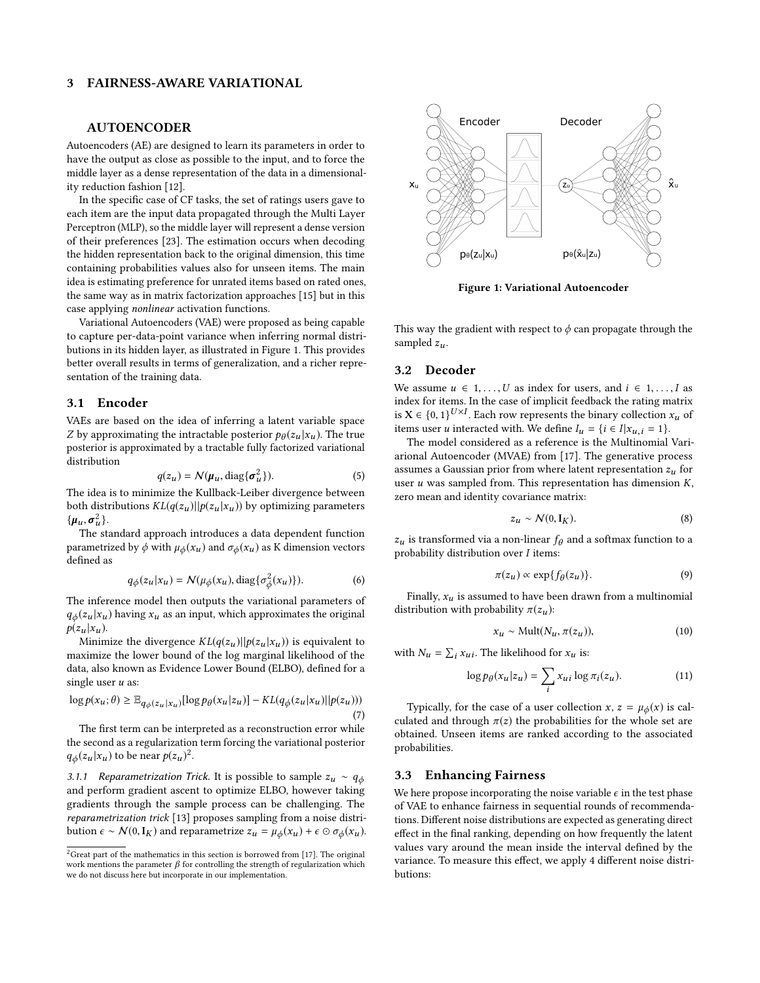# 3 FAIRNESS-AWARE VARIATIONAL

#### AUTOENCODER

Autoencoders (AE) are designed to learn its parameters in order to have the output as close as possible to the input, and to force the middle layer as a dense representation of the data in a dimensionality reduction fashion [\[12\]](#page-6-5).

In the specific case of CF tasks, the set of ratings users gave to each item are the input data propagated through the Multi Layer Perceptron (MLP), so the middle layer will represent a dense version of their preferences [\[23\]](#page-7-0). The estimation occurs when decoding the hidden representation back to the original dimension, this time containing probabilities values also for unseen items. The main idea is estimating preference for unrated items based on rated ones, the same way as in matrix factorization approaches [\[15\]](#page-7-6) but in this case applying nonlinear activation functions.

Variational Autoencoders (VAE) were proposed as being capable to capture per-data-point variance when inferring normal distributions in its hidden layer, as illustrated in Figure [1.](#page-2-0) This provides better overall results in terms of generalization, and a richer representation of the training data.

#### 3.1 Encoder

VAEs are based on the idea of inferring a latent variable space Z by approximating the intractable posterior  $p_{\theta}(z_u | x_u)$ . The true<br>posterior is approximated by a tractable fully factorized variational posterior is approximated by a tractable fully factorized variational distribution

$$
q(z_u) = \mathcal{N}(\mu_u, \text{diag}\{\sigma_u^2\}).
$$
 (5)

 $q(z_u) = \mathcal{N}(\pmb{\mu}_u, \text{diag}\{\pmb{\sigma}_u^2\}).$ <br>The idea is to minimize the Kullback-Leiber divergence between both distributions  $KL(q(z_u)||p(z_u|x_u))$  by optimizing parameters  $\{\boldsymbol{\mu}_u, \boldsymbol{\sigma}_u^2\}.$  The st

The standard approach introduces a data dependent function parametrized by  $\phi$  with  $\mu_{\phi}(x_u)$  and  $\sigma_{\phi}(x_u)$  as K dimension vectors defined as

$$
q_{\phi}(z_u|x_u) = \mathcal{N}(\mu_{\phi}(x_u), \text{diag}\{\sigma_{\phi}^2(x_u)\}).
$$
 (6)

The inference model then outputs the variational parameters of  $q_{\phi}(z_u | x_u)$  having  $x_u$  as an input, which approximates the original  $p(z_u | x_u)$ .

Minimize the divergence  $KL(q(z_u)||p(z_u|x_u))$  is equivalent to maximize the lower bound of the log marginal likelihood of the data, also known as Evidence Lower Bound (ELBO), defined for a single user  $u$  as:

$$
\log p(x_u; \theta) \geq \mathbb{E}_{q_\phi(z_u | x_u)}[\log p_\theta(x_u | z_u)] - KL(q_\phi(z_u | x_u) || p(z_u)) ) \tag{7}
$$

The first term can be interpreted as a reconstruction error while the second as a regularization term forcing the variational posterior  $q_{\phi}(z_u | x_u)$  to be near  $p(z_u)^2$  $p(z_u)^2$ .

3.1.1 Reparametrization Trick. It is possible to sample  $z_u \sim q_\phi$ and perform gradient ascent to optimize ELBO, however taking gradients through the sample process can be challenging. The reparametrization trick [\[13\]](#page-6-1) proposes sampling from a noise distribution  $\epsilon \sim \mathcal{N}(0, \mathbf{I}_K)$  and reparametrize  $z_u = \mu_{\phi}(x_u) + \epsilon \odot \sigma_{\phi}(x_u)$ .

<span id="page-2-0"></span>

Figure 1: Variational Autoencoder

This way the gradient with respect to  $\phi$  can propagate through the sampled  $z_u$ .

#### 3.2 Decoder

We assume  $u \in 1, ..., U$  as index for users, and  $i \in 1, ..., I$  as index for items. In the case of implicit feedback the rating matrix is  $X \in \{0, 1\}^{U \times I}$ . Each row represents the binary collection  $x_u$  of items user u interacted with We define  $I = I$  i.  $\in I | x - 1$ items user u interacted with. We define  $I_u = \{i \in I | x_{u,i} = 1\}.$ 

The model considered as a reference is the Multinomial Variarional Autoencoder (MVAE) from [\[17\]](#page-7-1). The generative process assumes a Gaussian prior from where latent representation  $z_u$  for user  $u$  was sampled from. This representation has dimension  $K$ , zero mean and identity covariance matrix:

$$
z_u \sim \mathcal{N}(0, \mathbf{I}_K). \tag{8}
$$

 $z_u$  is transformed via a non-linear  $f_\theta$  and a softmax function to a probability distribution over I items:

$$
\pi(z_u) \propto \exp\{f_\theta(z_u)\}.\tag{9}
$$

Finally,  $x_u$  is assumed to have been drawn from a multinomial distribution with probability  $\pi(z_u)$ :

$$
x_u \sim \text{Mult}(N_u, \pi(z_u)), \tag{10}
$$

with  $N_u = \sum_i x_{ui}$ . The likelihood for  $x_u$  is:

$$
\log p_{\theta}(x_u | z_u) = \sum_i x_{ui} \log \pi_i(z_u). \tag{11}
$$

Typically, for the case of a user collection  $x, z = \mu_{\phi}(x)$  is calculated and through  $\pi(z)$  the probabilities for the whole set are obtained. Unseen items are ranked according to the associated probabilities.

## 3.3 Enhancing Fairness

We here propose incorporating the noise variable  $\epsilon$  in the test phase of VAE to enhance fairness in sequential rounds of recommendations. Different noise distributions are expected as generating direct effect in the final ranking, depending on how frequently the latent values vary around the mean inside the interval defined by the variance. To measure this effect, we apply 4 different noise distributions:

<span id="page-2-1"></span> $2G$ reat part of the mathematics in this section is borrowed from [\[17\]](#page-7-1). The original work mentions the parameter  $\beta$  for controlling the strength of regularization which we do not discuss here but incorporate in our implementation.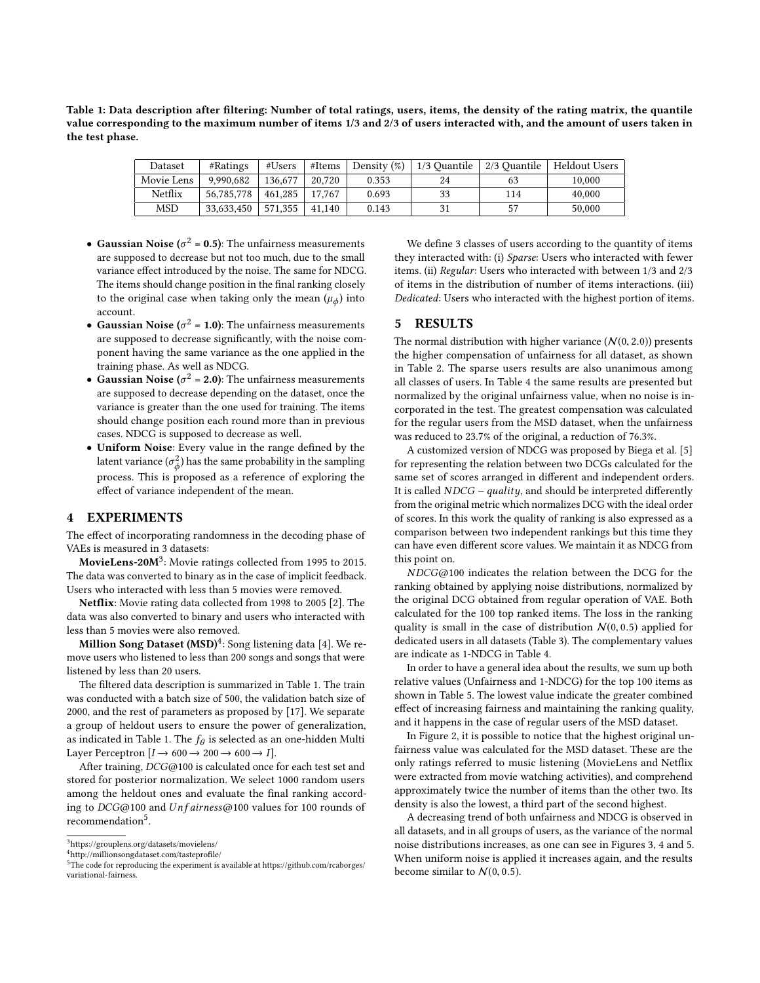<span id="page-3-3"></span>Table 1: Data description after filtering: Number of total ratings, users, items, the density of the rating matrix, the quantile value corresponding to the maximum number of items 1/3 and 2/3 of users interacted with, and the amount of users taken in the test phase.

| Dataset    | #Ratines   | #Users  | #Items | Density $(\%)$ | 1/3 Quantile | 2/3 Ouantile | Heldout Users |
|------------|------------|---------|--------|----------------|--------------|--------------|---------------|
| Movie Lens | 9.990.682  | 136,677 | 20.720 | 0.353          | 24           | 63           | 10.000        |
| Netflix    | 56,785,778 | 461.285 | 17.767 | 0.693          | 33           | 114          | 40,000        |
| <b>MSD</b> | 33.633.450 | 571.355 | 41.140 | 0.143          |              | 57           | 50,000        |

- Gaussian Noise ( $\sigma^2$  = 0.5): The unfairness measurements are supposed to decrease but not too much, due to the small variance effect introduced by the noise. The same for NDCG. The items should change position in the final ranking closely to the original case when taking only the mean  $(\mu_{\phi})$  into account.
- Gaussian Noise ( $\sigma^2 = 1.0$ ): The unfairness measurements are supposed to decrease significantly, with the noise component having the same variance as the one applied in the training phase. As well as NDCG.
- Gaussian Noise ( $\sigma^2 = 2.0$ ): The unfairness measurements are supposed to decrease depending on the dataset, once the variance is greater than the one used for training. The items should change position each round more than in previous cases. NDCG is supposed to decrease as well.
- Uniform Noise: Every value in the range defined by the latent variance  $(\sigma_{\phi}^2)$  has the same probability in the sampling process. This is proposed as a reference of exploring the effect of variance independent of the mean.

## 4 EXPERIMENTS

The effect of incorporating randomness in the decoding phase of VAEs is measured in 3 datasets:

 ${\rm MovieLens{\text -}20 M^3}$  ${\rm MovieLens{\text -}20 M^3}$  ${\rm MovieLens{\text -}20 M^3}$ : Movie ratings collected from 1995 to 2015. The data was converted to binary as in the case of implicit feedback. Users who interacted with less than 5 movies were removed.

Netflix: Movie rating data collected from 1998 to 2005 [\[2\]](#page-6-6). The data was also converted to binary and users who interacted with less than 5 movies were also removed.

Million Song Dataset (MSD) $^4$  $^4$ : Song listening data [\[4\]](#page-6-7). We remove users who listened to less than 200 songs and songs that were listened by less than 20 users.

The filtered data description is summarized in Table [1.](#page-3-3) The train was conducted with a batch size of 500, the validation batch size of 2000, and the rest of parameters as proposed by [\[17\]](#page-7-1). We separate a group of heldout users to ensure the power of generalization, as indicated in Table [1.](#page-3-3) The  $f_\theta$  is selected as an one-hidden Multi<br>Laver Percentron  $[I \rightarrow 600 \rightarrow 200 \rightarrow 600 \rightarrow I]$ Layer Perceptron  $[I \rightarrow 600 \rightarrow 200 \rightarrow 600 \rightarrow I]$ .

After training, DCG@100 is calculated once for each test set and stored for posterior normalization. We select 1000 random users among the heldout ones and evaluate the final ranking according to  $DCG@100$  and  $Unfairness@100$  values for 100 rounds of recommendation<sup>[5](#page-3-4)</sup>.

We define 3 classes of users according to the quantity of items they interacted with: (i) Sparse: Users who interacted with fewer items. (ii) Regular: Users who interacted with between 1/3 and 2/3 of items in the distribution of number of items interactions. (iii) Dedicated: Users who interacted with the highest portion of items.

## <span id="page-3-0"></span>5 RESULTS

The normal distribution with higher variance  $(N(0, 2.0))$  presents the higher compensation of unfairness for all dataset, as shown in Table [2.](#page-4-0) The sparse users results are also unanimous among all classes of users. In Table [4](#page-4-1) the same results are presented but normalized by the original unfairness value, when no noise is incorporated in the test. The greatest compensation was calculated for the regular users from the MSD dataset, when the unfairness was reduced to 23.7% of the original, a reduction of 76.3%.

A customized version of NDCG was proposed by Biega et al. [\[5\]](#page-6-0) for representing the relation between two DCGs calculated for the same set of scores arranged in different and independent orders. It is called  $NDCG - quality$ , and should be interpreted differently from the original metric which normalizes DCG with the ideal order of scores. In this work the quality of ranking is also expressed as a comparison between two independent rankings but this time they can have even different score values. We maintain it as NDCG from this point on.

NDCG@100 indicates the relation between the DCG for the ranking obtained by applying noise distributions, normalized by the original DCG obtained from regular operation of VAE. Both calculated for the 100 top ranked items. The loss in the ranking quality is small in the case of distribution  $N(0, 0.5)$  applied for dedicated users in all datasets (Table [3\)](#page-4-2). The complementary values are indicate as 1-NDCG in Table [4.](#page-4-1)

In order to have a general idea about the results, we sum up both relative values (Unfairness and 1-NDCG) for the top 100 items as shown in Table [5.](#page-4-3) The lowest value indicate the greater combined effect of increasing fairness and maintaining the ranking quality, and it happens in the case of regular users of the MSD dataset.

In Figure [2,](#page-5-0) it is possible to notice that the highest original unfairness value was calculated for the MSD dataset. These are the only ratings referred to music listening (MovieLens and Netflix were extracted from movie watching activities), and comprehend approximately twice the number of items than the other two. Its density is also the lowest, a third part of the second highest.

A decreasing trend of both unfairness and NDCG is observed in all datasets, and in all groups of users, as the variance of the normal noise distributions increases, as one can see in Figures [3,](#page-5-1) [4](#page-5-2) and [5.](#page-5-3) When uniform noise is applied it increases again, and the results become similar to  $N(0, 0.5)$ .

<span id="page-3-1"></span> $^3$ <https://grouplens.org/datasets/movielens/>

<span id="page-3-2"></span><sup>4</sup><http://millionsongdataset.com/tasteprofile/>

<span id="page-3-4"></span><sup>5</sup>The code for reproducing the experiment is available at [https://github.com/rcaborges/](https://github.com/rcaborges/variational-fairness) [variational-fairness.](https://github.com/rcaborges/variational-fairness)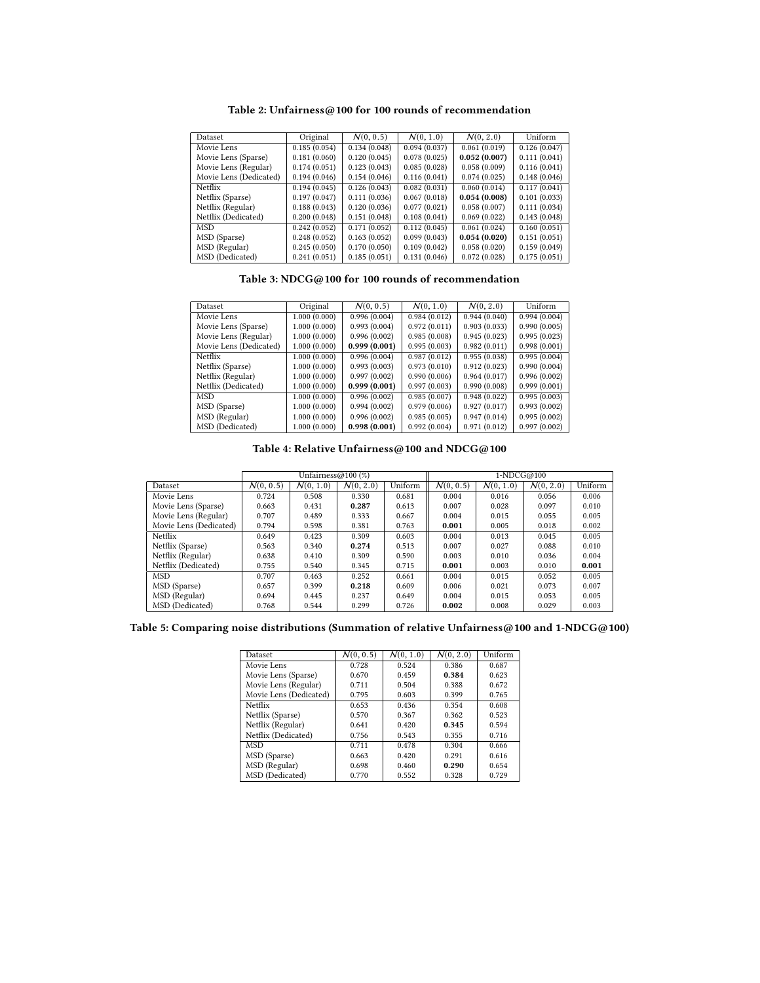<span id="page-4-0"></span>

| Dataset                | Original     | N(0, 0.5)    | N(0, 1.0)    | N(0, 2.0)    | Uniform      |
|------------------------|--------------|--------------|--------------|--------------|--------------|
| Movie Lens             | 0.185(0.054) | 0.134(0.048) | 0.094(0.037) | 0.061(0.019) | 0.126(0.047) |
| Movie Lens (Sparse)    | 0.181(0.060) | 0.120(0.045) | 0.078(0.025) | 0.052(0.007) | 0.111(0.041) |
| Movie Lens (Regular)   | 0.174(0.051) | 0.123(0.043) | 0.085(0.028) | 0.058(0.009) | 0.116(0.041) |
| Movie Lens (Dedicated) | 0.194(0.046) | 0.154(0.046) | 0.116(0.041) | 0.074(0.025) | 0.148(0.046) |
| Netflix                | 0.194(0.045) | 0.126(0.043) | 0.082(0.031) | 0.060(0.014) | 0.117(0.041) |
| Netflix (Sparse)       | 0.197(0.047) | 0.111(0.036) | 0.067(0.018) | 0.054(0.008) | 0.101(0.033) |
| Netflix (Regular)      | 0.188(0.043) | 0.120(0.036) | 0.077(0.021) | 0.058(0.007) | 0.111(0.034) |
| Netflix (Dedicated)    | 0.200(0.048) | 0.151(0.048) | 0.108(0.041) | 0.069(0.022) | 0.143(0.048) |
| <b>MSD</b>             | 0.242(0.052) | 0.171(0.052) | 0.112(0.045) | 0.061(0.024) | 0.160(0.051) |
| MSD (Sparse)           | 0.248(0.052) | 0.163(0.052) | 0.099(0.043) | 0.054(0.020) | 0.151(0.051) |
| MSD (Regular)          | 0.245(0.050) | 0.170(0.050) | 0.109(0.042) | 0.058(0.020) | 0.159(0.049) |
| MSD (Dedicated)        | 0.241(0.051) | 0.185(0.051) | 0.131(0.046) | 0.072(0.028) | 0.175(0.051) |

Table 2: Unfairness@100 for 100 rounds of recommendation

Table 3: NDCG@100 for 100 rounds of recommendation

<span id="page-4-2"></span>

| <b>Dataset</b>         | Original     | N(0, 0.5)    | N(0, 1.0)    | N(0, 2.0)    | Uniform      |
|------------------------|--------------|--------------|--------------|--------------|--------------|
| Movie Lens             | 1.000(0.000) | 0.996(0.004) | 0.984(0.012) | 0.944(0.040) | 0.994(0.004) |
| Movie Lens (Sparse)    | 1.000(0.000) | 0.993(0.004) | 0.972(0.011) | 0.903(0.033) | 0.990(0.005) |
| Movie Lens (Regular)   | 1.000(0.000) | 0.996(0.002) | 0.985(0.008) | 0.945(0.023) | 0.995(0.023) |
| Movie Lens (Dedicated) | 1.000(0.000) | 0.999(0.001) | 0.995(0.003) | 0.982(0.011) | 0.998(0.001) |
| Netflix                | 1.000(0.000) | 0.996(0.004) | 0.987(0.012) | 0.955(0.038) | 0.995(0.004) |
| Netflix (Sparse)       | 1.000(0.000) | 0.993(0.003) | 0.973(0.010) | 0.912(0.023) | 0.990(0.004) |
| Netflix (Regular)      | 1.000(0.000) | 0.997(0.002) | 0.990(0.006) | 0.964(0.017) | 0.996(0.002) |
| Netflix (Dedicated)    | 1.000(0.000) | 0.999(0.001) | 0.997(0.003) | 0.990(0.008) | 0.999(0.001) |
| <b>MSD</b>             | 1.000(0.000) | 0.996(0.002) | 0.985(0.007) | 0.948(0.022) | 0.995(0.003) |
| MSD (Sparse)           | 1.000(0.000) | 0.994(0.002) | 0.979(0.006) | 0.927(0.017) | 0.993(0.002) |
| MSD (Regular)          | 1.000(0.000) | 0.996(0.002) | 0.985(0.005) | 0.947(0.014) | 0.995(0.002) |
| MSD (Dedicated)        | 1.000(0.000) | 0.998(0.001) | 0.992(0.004) | 0.971(0.012) | 0.997(0.002) |

Table 4: Relative Unfairness@100 and  $\mathrm{NDCG}@100$ 

<span id="page-4-1"></span>

|                        | Unfairness@100 $(\%)$ |           |           |         | 1-NDCG@100 |           |                                  |         |
|------------------------|-----------------------|-----------|-----------|---------|------------|-----------|----------------------------------|---------|
| Dataset                | N(0, 0.5)             | N(0, 1.0) | N(0, 2.0) | Uniform | N(0, 0.5)  | N(0, 1.0) | $\overline{\mathcal{N}(0, 2.0)}$ | Uniform |
| Movie Lens             | 0.724                 | 0.508     | 0.330     | 0.681   | 0.004      | 0.016     | 0.056                            | 0.006   |
| Movie Lens (Sparse)    | 0.663                 | 0.431     | 0.287     | 0.613   | 0.007      | 0.028     | 0.097                            | 0.010   |
| Movie Lens (Regular)   | 0.707                 | 0.489     | 0.333     | 0.667   | 0.004      | 0.015     | 0.055                            | 0.005   |
| Movie Lens (Dedicated) | 0.794                 | 0.598     | 0.381     | 0.763   | 0.001      | 0.005     | 0.018                            | 0.002   |
| Netflix                | 0.649                 | 0.423     | 0.309     | 0.603   | 0.004      | 0.013     | 0.045                            | 0.005   |
| Netflix (Sparse)       | 0.563                 | 0.340     | 0.274     | 0.513   | 0.007      | 0.027     | 0.088                            | 0.010   |
| Netflix (Regular)      | 0.638                 | 0.410     | 0.309     | 0.590   | 0.003      | 0.010     | 0.036                            | 0.004   |
| Netflix (Dedicated)    | 0.755                 | 0.540     | 0.345     | 0.715   | 0.001      | 0.003     | 0.010                            | 0.001   |
| MSD                    | 0.707                 | 0.463     | 0.252     | 0.661   | 0.004      | 0.015     | 0.052                            | 0.005   |
| MSD (Sparse)           | 0.657                 | 0.399     | 0.218     | 0.609   | 0.006      | 0.021     | 0.073                            | 0.007   |
| MSD (Regular)          | 0.694                 | 0.445     | 0.237     | 0.649   | 0.004      | 0.015     | 0.053                            | 0.005   |
| MSD (Dedicated)        | 0.768                 | 0.544     | 0.299     | 0.726   | 0.002      | 0.008     | 0.029                            | 0.003   |

<span id="page-4-3"></span>Table 5: Comparing noise distributions (Summation of relative Unfairness@100 and 1-NDCG@100)

| Dataset                | N(0, 0.5) | $\overline{N(0, 1.0)}$ | N(0, 2.0) | Uniform |
|------------------------|-----------|------------------------|-----------|---------|
| Movie Lens             | 0.728     | 0.524                  | 0.386     | 0.687   |
| Movie Lens (Sparse)    | 0.670     | 0.459                  | 0.384     | 0.623   |
| Movie Lens (Regular)   | 0.711     | 0.504                  | 0.388     | 0.672   |
| Movie Lens (Dedicated) | 0.795     | 0.603                  | 0.399     | 0.765   |
| Netflix                | 0.653     | 0.436                  | 0.354     | 0.608   |
| Netflix (Sparse)       | 0.570     | 0.367                  | 0.362     | 0.523   |
| Netflix (Regular)      | 0.641     | 0.420                  | 0.345     | 0.594   |
| Netflix (Dedicated)    | 0.756     | 0.543                  | 0.355     | 0.716   |
| <b>MSD</b>             | 0.711     | 0.478                  | 0.304     | 0.666   |
| MSD (Sparse)           | 0.663     | 0.420                  | 0.291     | 0.616   |
| MSD (Regular)          | 0.698     | 0.460                  | 0.290     | 0.654   |
| MSD (Dedicated)        | 0.770     | 0.552                  | 0.328     | 0.729   |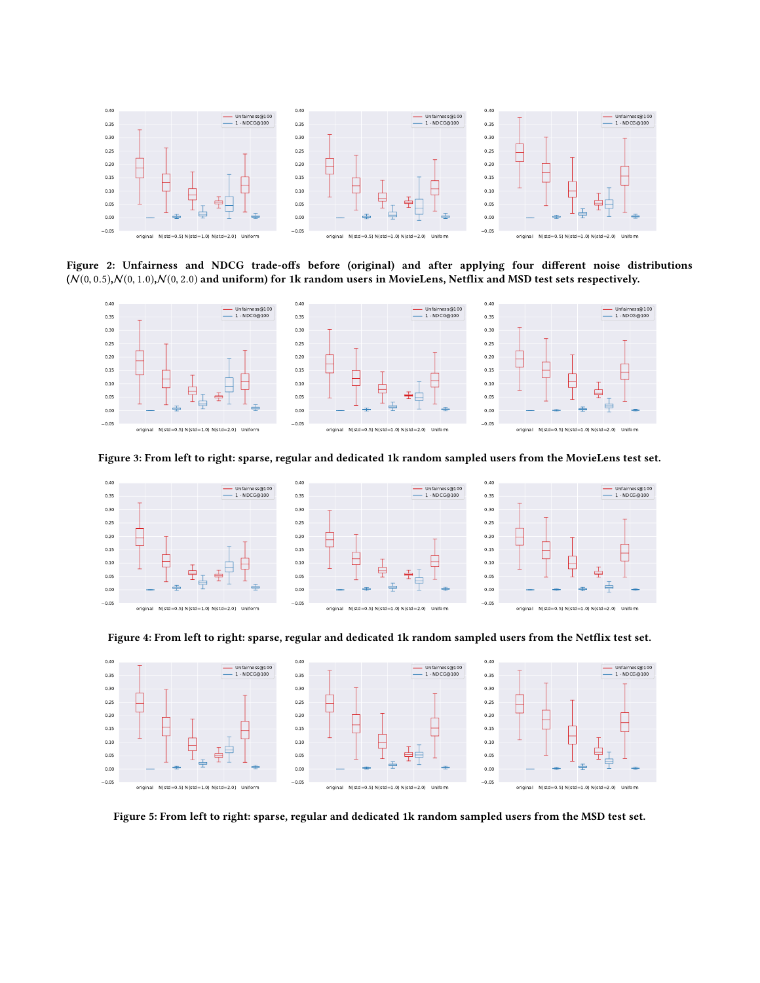<span id="page-5-0"></span>

Figure 2: Unfairness and NDCG trade-offs before (original) and after applying four different noise distributions  $(N(0, 0.5), N(0, 1.0), N(0, 2.0)$  and uniform) for 1k random users in MovieLens, Netflix and MSD test sets respectively.

<span id="page-5-1"></span>

Figure 3: From left to right: sparse, regular and dedicated 1k random sampled users from the MovieLens test set.

<span id="page-5-2"></span>

Figure 4: From left to right: sparse, regular and dedicated 1k random sampled users from the Netflix test set.

<span id="page-5-3"></span>

Figure 5: From left to right: sparse, regular and dedicated 1k random sampled users from the MSD test set.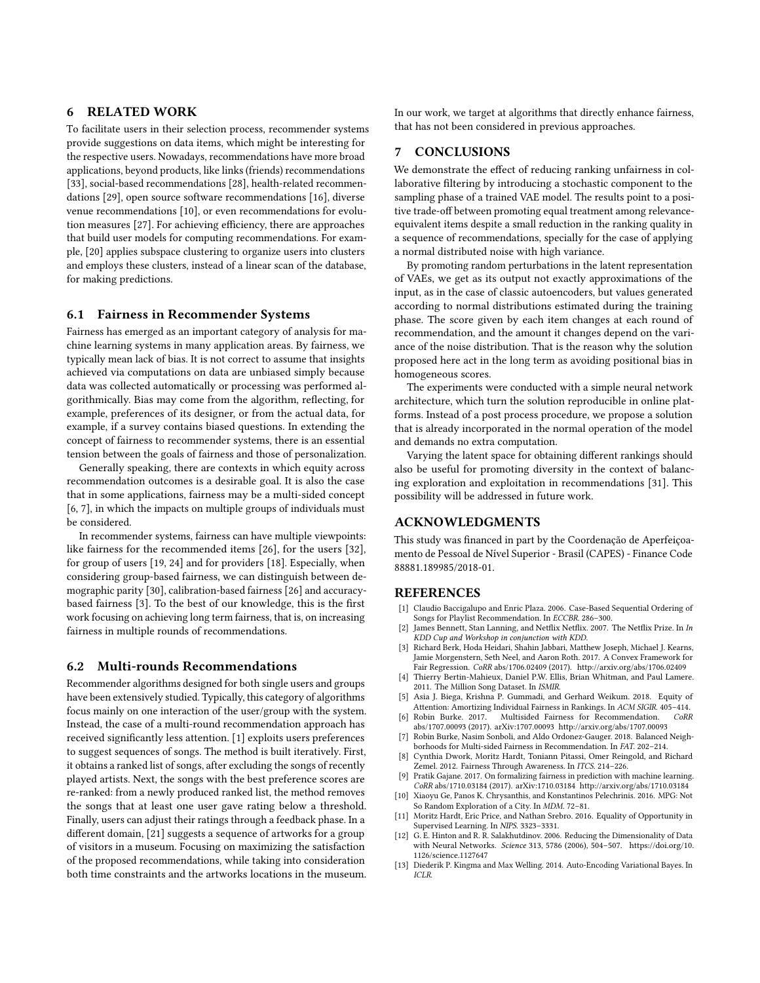# 6 RELATED WORK

To facilitate users in their selection process, recommender systems provide suggestions on data items, which might be interesting for the respective users. Nowadays, recommendations have more broad applications, beyond products, like links (friends) recommendations [\[33\]](#page-7-7), social-based recommendations [\[28\],](#page-7-8) health-related recommendations [\[29\]](#page-7-9), open source software recommendations [\[16\],](#page-7-10) diverse venue recommendations [\[10\]](#page-6-8), or even recommendations for evolution measures [\[27\]](#page-7-11). For achieving efficiency, there are approaches that build user models for computing recommendations. For example, [\[20\]](#page-7-12) applies subspace clustering to organize users into clusters and employs these clusters, instead of a linear scan of the database, for making predictions.

# 6.1 Fairness in Recommender Systems

Fairness has emerged as an important category of analysis for machine learning systems in many application areas. By fairness, we typically mean lack of bias. It is not correct to assume that insights achieved via computations on data are unbiased simply because data was collected automatically or processing was performed algorithmically. Bias may come from the algorithm, reflecting, for example, preferences of its designer, or from the actual data, for example, if a survey contains biased questions. In extending the concept of fairness to recommender systems, there is an essential tension between the goals of fairness and those of personalization.

Generally speaking, there are contexts in which equity across recommendation outcomes is a desirable goal. It is also the case that in some applications, fairness may be a multi-sided concept [\[6,](#page-6-9) [7\],](#page-6-10) in which the impacts on multiple groups of individuals must be considered.

In recommender systems, fairness can have multiple viewpoints: like fairness for the recommended items [\[26\]](#page-7-13), for the users [\[32\]](#page-7-14), for group of users [\[19,](#page-7-15) [24\]](#page-7-16) and for providers [\[18\].](#page-7-17) Especially, when considering group-based fairness, we can distinguish between demographic parity [\[30\]](#page-7-18), calibration-based fairness [\[26\]](#page-7-13) and accuracybased fairness [\[3\].](#page-6-11) To the best of our knowledge, this is the first work focusing on achieving long term fairness, that is, on increasing fairness in multiple rounds of recommendations.

#### 6.2 Multi-rounds Recommendations

Recommender algorithms designed for both single users and groups have been extensively studied. Typically, this category of algorithms focus mainly on one interaction of the user/group with the system. Instead, the case of a multi-round recommendation approach has received significantly less attention. [\[1\]](#page-6-12) exploits users preferences to suggest sequences of songs. The method is built iteratively. First, it obtains a ranked list of songs, after excluding the songs of recently played artists. Next, the songs with the best preference scores are re-ranked: from a newly produced ranked list, the method removes the songs that at least one user gave rating below a threshold. Finally, users can adjust their ratings through a feedback phase. In a different domain, [\[21\]](#page-7-19) suggests a sequence of artworks for a group of visitors in a museum. Focusing on maximizing the satisfaction of the proposed recommendations, while taking into consideration both time constraints and the artworks locations in the museum.

In our work, we target at algorithms that directly enhance fairness, that has not been considered in previous approaches.

# 7 CONCLUSIONS

We demonstrate the effect of reducing ranking unfairness in collaborative filtering by introducing a stochastic component to the sampling phase of a trained VAE model. The results point to a positive trade-off between promoting equal treatment among relevanceequivalent items despite a small reduction in the ranking quality in a sequence of recommendations, specially for the case of applying a normal distributed noise with high variance.

By promoting random perturbations in the latent representation of VAEs, we get as its output not exactly approximations of the input, as in the case of classic autoencoders, but values generated according to normal distributions estimated during the training phase. The score given by each item changes at each round of recommendation, and the amount it changes depend on the variance of the noise distribution. That is the reason why the solution proposed here act in the long term as avoiding positional bias in homogeneous scores.

The experiments were conducted with a simple neural network architecture, which turn the solution reproducible in online platforms. Instead of a post process procedure, we propose a solution that is already incorporated in the normal operation of the model and demands no extra computation.

Varying the latent space for obtaining different rankings should also be useful for promoting diversity in the context of balancing exploration and exploitation in recommendations [\[31\]](#page-7-20). This possibility will be addressed in future work.

# ACKNOWLEDGMENTS

This study was financed in part by the Coordenação de Aperfeiçoamento de Pessoal de Nível Superior - Brasil (CAPES) - Finance Code 88881.189985/2018-01.

## REFERENCES

- <span id="page-6-12"></span>[1] Claudio Baccigalupo and Enric Plaza. 2006. Case-Based Sequential Ordering of Songs for Playlist Recommendation. In ECCBR. 286-300.
- <span id="page-6-6"></span>[2] James Bennett, Stan Lanning, and Netflix Netflix. 2007. The Netflix Prize. In In KDD Cup and Workshop in conjunction with KDD.
- <span id="page-6-11"></span>[3] Richard Berk, Hoda Heidari, Shahin Jabbari, Matthew Joseph, Michael J. Kearns, Jamie Morgenstern, Seth Neel, and Aaron Roth. 2017. A Convex Framework for Fair Regression. CoRR abs/1706.02409 (2017).<http://arxiv.org/abs/1706.02409>
- <span id="page-6-7"></span>[4] Thierry Bertin-Mahieux, Daniel P.W. Ellis, Brian Whitman, and Paul Lamere. 2011. The Million Song Dataset. In ISMIR.
- <span id="page-6-0"></span>[5] Asia J. Biega, Krishna P. Gummadi, and Gerhard Weikum. 2018. Equity of Attention: Amortizing Individual Fairness in Rankings. In ACM SIGIR. 405–414.
- <span id="page-6-9"></span>[6] Robin Burke. 2017. Multisided Fairness for Recommendation. CoRR abs/1707.00093 (2017). arXiv[:1707.00093 http://arxiv.org/abs/1707.00093](http://arxiv.org/abs/1707.00093)
- <span id="page-6-10"></span>[7] Robin Burke, Nasim Sonboli, and Aldo Ordonez-Gauger. 2018. Balanced Neighborhoods for Multi-sided Fairness in Recommendation. In FAT. 202–214.
- <span id="page-6-2"></span>[8] Cynthia Dwork, Moritz Hardt, Toniann Pitassi, Omer Reingold, and Richard Zemel. 2012. Fairness Through Awareness. In ITCS. 214–226.
- <span id="page-6-4"></span>[9] Pratik Gajane. 2017. On formalizing fairness in prediction with machine learning. CoRR abs/1710.03184 (2017). arXiv[:1710.03184 http://arxiv.org/abs/1710.03184](http://arxiv.org/abs/1710.03184)
- <span id="page-6-8"></span>[10] Xiaoyu Ge, Panos K. Chrysanthis, and Konstantinos Pelechrinis. 2016. MPG: Not So Random Exploration of a City. In MDM. 72–81.
- <span id="page-6-3"></span>[11] Moritz Hardt, Eric Price, and Nathan Srebro. 2016. Equality of Opportunity in Supervised Learning. In NIPS. 3323–3331.
- <span id="page-6-5"></span>[12] G. E. Hinton and R. R. Salakhutdinov. 2006. Reducing the Dimensionality of Data with Neural Networks. Science 313, 5786 (2006), 504–507. [https://doi.org/10.](https://doi.org/10.1126/science.1127647) [1126/science.1127647](https://doi.org/10.1126/science.1127647)
- <span id="page-6-1"></span>[13] Diederik P. Kingma and Max Welling. 2014. Auto-Encoding Variational Bayes. In ICLR.